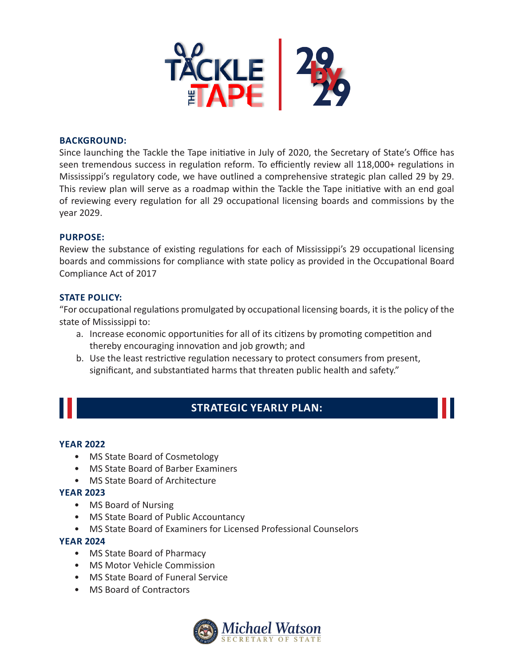

#### **BACKGROUND:**

Since launching the Tackle the Tape initiative in July of 2020, the Secretary of State's Office has seen tremendous success in regulation reform. To efficiently review all 118,000+ regulations in Mississippi's regulatory code, we have outlined a comprehensive strategic plan called 29 by 29. This review plan will serve as a roadmap within the Tackle the Tape initiative with an end goal of reviewing every regulation for all 29 occupational licensing boards and commissions by the year 2029.

## **PURPOSE:**

Review the substance of existing regulations for each of Mississippi's 29 occupational licensing boards and commissions for compliance with state policy as provided in the Occupational Board Compliance Act of 2017

#### **STATE POLICY:**

"For occupational regulations promulgated by occupational licensing boards, it is the policy of the state of Mississippi to:

- a. Increase economic opportunities for all of its citizens by promoting competition and thereby encouraging innovation and job growth; and
- b. Use the least restrictive regulation necessary to protect consumers from present, significant, and substantiated harms that threaten public health and safety."

# **STRATEGIC YEARLY PLAN:**

#### **YEAR 2022**

- MS State Board of Cosmetology
- MS State Board of Barber Examiners
- MS State Board of Architecture

#### **YEAR 2023**

- MS Board of Nursing
- MS State Board of Public Accountancy
- MS State Board of Examiners for Licensed Professional Counselors

#### **YEAR 2024**

- MS State Board of Pharmacy
- MS Motor Vehicle Commission
- MS State Board of Funeral Service
- MS Board of Contractors